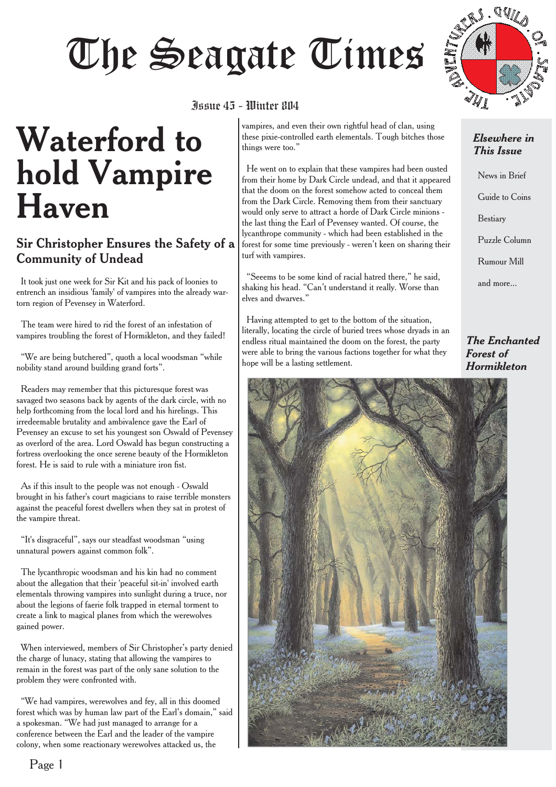# The Seagate Times

# **Waterford to hold Vampire Haven**

#### Sir Christopher Ensures the Safety of a Community of Undead

It took just one week for Sir Kit and his pack of loonies to entrench an insidious 'family' of vampires into the already wartorn region of Pevensey in Waterford.

The team were hired to rid the forest of an infestation of vampires troubling the forest of Hormikleton, and they failed!

"We are being butchered", quoth a local woodsman "while nobility stand around building grand forts".

Readers may remember that this picturesque forest was savaged two seasons back by agents of the dark circle, with no help forthcoming from the local lord and his hirelings. This irredeemable brutality and ambivalence gave the Earl of Pevensey an excuse to set his youngest son Oswald of Pevensey as overlord of the area. Lord Oswald has begun constructing a fortress overlooking the once serene beauty of the Hormikleton forest. He is said to rule with a miniature iron fist.

As if this insult to the people was not enough - Oswald brought in his father's court magicians to raise terrible monsters against the peaceful forest dwellers when they sat in protest of the vampire threat.

"It's disgraceful", says our steadfast woodsman "using unnatural powers against common folk".

The lycanthropic woodsman and his kin had no comment about the allegation that their 'peaceful sit-in' involved earth elementals throwing vampires into sunlight during a truce, nor about the legions of faerie folk trapped in eternal torment to create a link to magical planes from which the werewolves gained power.

When interviewed, members of Sir Christopher's party denied the charge of lunacy, stating that allowing the vampires to remain in the forest was part of the only sane solution to the problem they were confronted with.

"We had vampires, werewolves and fey, all in this doomed forest which was by human law part of the Earl's domain," said a spokesman. "We had just managed to arrange for a conference between the Earl and the leader of the vampire colony, when some reactionary werewolves attacked us, the

### Issue 45 - Winter 804

things were too."

turf with vampires.

elves and dwarves."

hope will be a lasting settlement.

vampires, and even their own rightful head of clan, using these pixie-controlled earth elementals. Tough bitches those

He went on to explain that these vampires had been ousted from their home by Dark Circle undead, and that it appeared that the doom on the forest somehow acted to conceal them from the Dark Circle. Removing them from their sanctuary would only serve to attract a horde of Dark Circle minions the last thing the Earl of Pevensey wanted. Of course, the lycanthrope community - which had been established in the forest for some time previously - weren't keen on sharing their

"Seeems to be some kind of racial hatred there," he said, shaking his head. "Can't understand it really. Worse than

Having attempted to get to the bottom of the situation, literally, locating the circle of buried trees whose dryads in an endless ritual maintained the doom on the forest, the party were able to bring the various factions together for what they



#### *Elsewhere in This Issue*

News in Brief Guide to Coins Bestiary Puzzle Column Rumour Mill and more...

*The Enchanted Forest of Hormikleton*

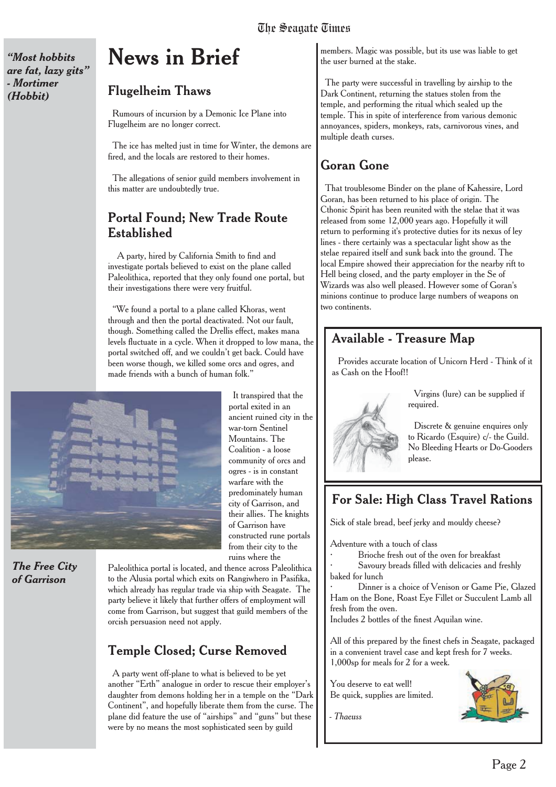*"Most hobbits are fat, lazy gits" - Mortimer (Hobbit)*

# **News in Brief**

#### Flugelheim Thaws

Rumours of incursion by a Demonic Ice Plane into Flugelheim are no longer correct.

The ice has melted just in time for Winter, the demons are fired, and the locals are restored to their homes.

The allegations of senior guild members involvement in this matter are undoubtedly true.

#### Portal Found; New Trade Route Established

A party, hired by California Smith to find and investigate portals believed to exist on the plane called Paleolithica, reported that they only found one portal, but their investigations there were very fruitful.

"We found a portal to a plane called Khoras, went through and then the portal deactivated. Not our fault, though. Something called the Drellis effect, makes mana levels fluctuate in a cycle. When it dropped to low mana, the portal switched off, and we couldn't get back. Could have been worse though, we killed some orcs and ogres, and made friends with a bunch of human folk."



*The Free City of Garrison*

It transpired that the portal exited in an ancient ruined city in the war-torn Sentinel Mountains. The Coalition - a loose community of orcs and ogres - is in constant warfare with the predominately human city of Garrison, and their allies. The knights of Garrison have constructed rune portals from their city to the ruins where the

Paleolithica portal is located, and thence across Paleolithica to the Alusia portal which exits on Rangiwhero in Pasifika, which already has regular trade via ship with Seagate. The party believe it likely that further offers of employment will come from Garrison, but suggest that guild members of the orcish persuasion need not apply.

#### Temple Closed; Curse Removed

A party went off-plane to what is believed to be yet another "Erth" analogue in order to rescue their employer's daughter from demons holding her in a temple on the "Dark Continent", and hopefully liberate them from the curse. The plane did feature the use of "airships" and "guns" but these were by no means the most sophisticated seen by guild

members. Magic was possible, but its use was liable to get the user burned at the stake.

The party were successful in travelling by airship to the Dark Continent, returning the statues stolen from the temple, and performing the ritual which sealed up the temple. This in spite of interference from various demonic annoyances, spiders, monkeys, rats, carnivorous vines, and multiple death curses.

#### Goran Gone

That troublesome Binder on the plane of Kahessire, Lord Goran, has been returned to his place of origin. The Cthonic Spirit has been reunited with the stelae that it was released from some 12,000 years ago. Hopefully it will return to performing it's protective duties for its nexus of ley lines - there certainly was a spectacular light show as the stelae repaired itself and sunk back into the ground. The local Empire showed their appreciation for the nearby rift to Hell being closed, and the party employer in the Se of Wizards was also well pleased. However some of Goran's minions continue to produce large numbers of weapons on two continents.

#### Available - Treasure Map

Provides accurate location of Unicorn Herd - Think of it as Cash on the Hoof!!



Discrete & genuine enquires only to Ricardo (Esquire) c/- the Guild. No Bleeding Hearts or Do-Gooders please.

#### For Sale: High Class Travel Rations

Sick of stale bread, beef jerky and mouldy cheese?

Adventure with a touch of class

- · Brioche fresh out of the oven for breakfast
- Savoury breads filled with delicacies and freshly baked for lunch

Dinner is a choice of Venison or Game Pie, Glazed Ham on the Bone, Roast Eye Fillet or Succulent Lamb all fresh from the oven.

Includes 2 bottles of the finest Aquilan wine.

All of this prepared by the finest chefs in Seagate, packaged in a convenient travel case and kept fresh for 7 weeks. 1,000sp for meals for 2 for a week.

You deserve to eat well! Be quick, supplies are limited.



*- Thaeuss*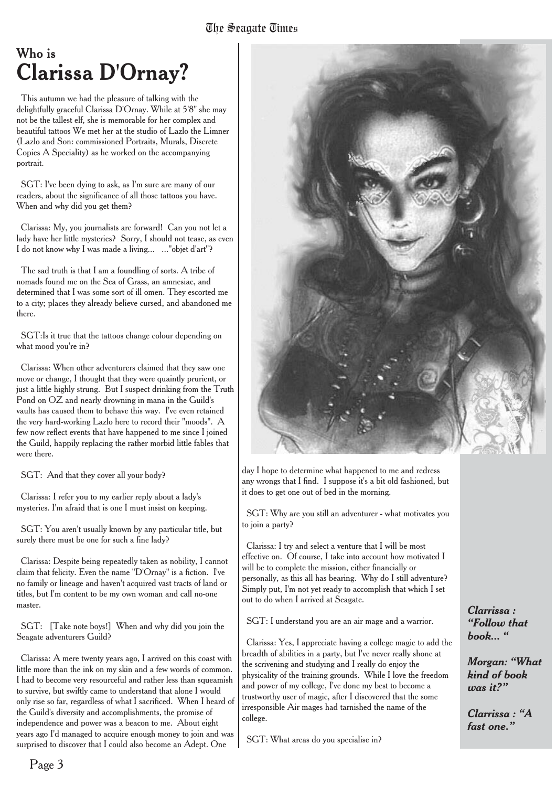### Who is **Clarissa D'Ornay?**

This autumn we had the pleasure of talking with the delightfully graceful Clarissa D'Ornay. While at 5'8" she may not be the tallest elf, she is memorable for her complex and beautiful tattoos We met her at the studio of Lazlo the Limner (Lazlo and Son: commissioned Portraits, Murals, Discrete Copies A Speciality) as he worked on the accompanying portrait.

SGT: I've been dying to ask, as I'm sure are many of our readers, about the significance of all those tattoos you have. When and why did you get them?

Clarissa: My, you journalists are forward! Can you not let a lady have her little mysteries? Sorry, I should not tease, as even I do not know why I was made a living... ..."objet d'art"?

The sad truth is that I am a foundling of sorts. A tribe of nomads found me on the Sea of Grass, an amnesiac, and determined that I was some sort of ill omen. They escorted me to a city; places they already believe cursed, and abandoned me there.

SGT:Is it true that the tattoos change colour depending on what mood you're in?

Clarissa: When other adventurers claimed that they saw one move or change, I thought that they were quaintly prurient, or just a little highly strung. But I suspect drinking from the Truth Pond on OZ and nearly drowning in mana in the Guild's vaults has caused them to behave this way. I've even retained the very hard-working Lazlo here to record their "moods". A few now reflect events that have happened to me since I joined the Guild, happily replacing the rather morbid little fables that were there.

SGT: And that they cover all your body?

Clarissa: I refer you to my earlier reply about a lady's mysteries. I'm afraid that is one I must insist on keeping.

SGT: You aren't usually known by any particular title, but surely there must be one for such a fine lady?

Clarissa: Despite being repeatedly taken as nobility, I cannot claim that felicity. Even the name "D'Ornay" is a fiction. I've no family or lineage and haven't acquired vast tracts of land or titles, but I'm content to be my own woman and call no-one master.

SGT: [Take note boys!] When and why did you join the Seagate adventurers Guild?

Clarissa: A mere twenty years ago, I arrived on this coast with little more than the ink on my skin and a few words of common. I had to become very resourceful and rather less than squeamish to survive, but swiftly came to understand that alone I would only rise so far, regardless of what I sacrificed. When I heard of the Guild's diversity and accomplishments, the promise of independence and power was a beacon to me. About eight years ago I'd managed to acquire enough money to join and was surprised to discover that I could also become an Adept. One



day I hope to determine what happened to me and redress any wrongs that I find. I suppose it's a bit old fashioned, but it does to get one out of bed in the morning.

SGT: Why are you still an adventurer - what motivates you to join a party?

Clarissa: I try and select a venture that I will be most effective on. Of course, I take into account how motivated I will be to complete the mission, either financially or personally, as this all has bearing. Why do I still adventure? Simply put, I'm not yet ready to accomplish that which I set out to do when I arrived at Seagate.

SGT: I understand you are an air mage and a warrior.

Clarissa: Yes, I appreciate having a college magic to add the breadth of abilities in a party, but I've never really shone at the scrivening and studying and I really do enjoy the physicality of the training grounds. While I love the freedom and power of my college, I've done my best to become a trustworthy user of magic, after I discovered that the some irresponsible Air mages had tarnished the name of the college.

SGT: What areas do you specialise in?

*Clarrissa : "Follow that book... "*

*Morgan: "What kind of book was it?"*

*Clarrissa : "A fast one."*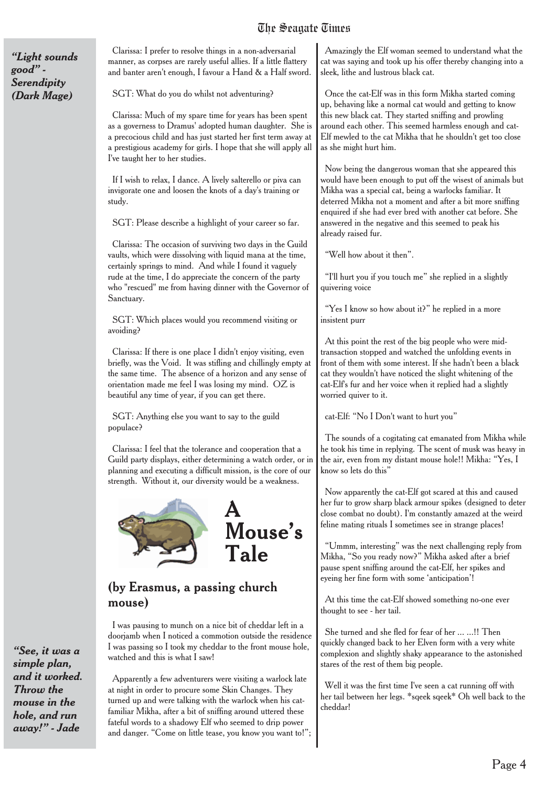#### The Seanate Times The Seagate Times

*"Light sounds good" - Serendipity (Dark Mage)*

Clarissa: I prefer to resolve things in a non-adversarial manner, as corpses are rarely useful allies. If a little flattery and banter aren't enough, I favour a Hand & a Half sword.

SGT: What do you do whilst not adventuring?

Clarissa: Much of my spare time for years has been spent as a governess to Dramus' adopted human daughter. She is a precocious child and has just started her first term away at a prestigious academy for girls. I hope that she will apply all I've taught her to her studies.

If I wish to relax, I dance. A lively salterello or piva can invigorate one and loosen the knots of a day's training or study.

SGT: Please describe a highlight of your career so far.

Clarissa: The occasion of surviving two days in the Guild vaults, which were dissolving with liquid mana at the time, certainly springs to mind. And while I found it vaguely rude at the time, I do appreciate the concern of the party who "rescued" me from having dinner with the Governor of Sanctuary.

SGT: Which places would you recommend visiting or avoiding?

Clarissa: If there is one place I didn't enjoy visiting, even briefly, was the Void. It was stifling and chillingly empty at the same time. The absence of a horizon and any sense of orientation made me feel I was losing my mind. OZ is beautiful any time of year, if you can get there.

SGT: Anything else you want to say to the guild populace?

Clarissa: I feel that the tolerance and cooperation that a Guild party displays, either determining a watch order, or in planning and executing a difficult mission, is the core of our strength. Without it, our diversity would be a weakness.



#### (by Erasmus, a passing church mouse)

I was pausing to munch on a nice bit of cheddar left in a doorjamb when I noticed a commotion outside the residence I was passing so I took my cheddar to the front mouse hole, watched and this is what I saw!

Apparently a few adventurers were visiting a warlock late at night in order to procure some Skin Changes. They turned up and were talking with the warlock when his catfamiliar Mikha, after a bit of sniffing around uttered these fateful words to a shadowy Elf who seemed to drip power and danger. "Come on little tease, you know you want to!";

Amazingly the Elf woman seemed to understand what the cat was saying and took up his offer thereby changing into a sleek, lithe and lustrous black cat.

Once the cat-Elf was in this form Mikha started coming up, behaving like a normal cat would and getting to know this new black cat. They started sniffing and prowling around each other. This seemed harmless enough and cat-Elf mewled to the cat Mikha that he shouldn't get too close as she might hurt him.

Now being the dangerous woman that she appeared this would have been enough to put off the wisest of animals but Mikha was a special cat, being a warlocks familiar. It deterred Mikha not a moment and after a bit more sniffing enquired if she had ever bred with another cat before. She answered in the negative and this seemed to peak his already raised fur.

"Well how about it then".

"I'll hurt you if you touch me" she replied in a slightly quivering voice

"Yes I know so how about it?" he replied in a more insistent purr

At this point the rest of the big people who were midtransaction stopped and watched the unfolding events in front of them with some interest. If she hadn't been a black cat they wouldn't have noticed the slight whitening of the cat-Elf's fur and her voice when it replied had a slightly worried quiver to it.

cat-Elf: "No I Don't want to hurt you"

The sounds of a cogitating cat emanated from Mikha while he took his time in replying. The scent of musk was heavy in the air, even from my distant mouse hole!! Mikha: "Yes, I know so lets do this"

Now apparently the cat-Elf got scared at this and caused her fur to grow sharp black armour spikes (designed to deter close combat no doubt). I'm constantly amazed at the weird feline mating rituals I sometimes see in strange places!

"Ummm, interesting" was the next challenging reply from Mikha, "So you ready now?" Mikha asked after a brief pause spent sniffing around the cat-Elf, her spikes and eyeing her fine form with some 'anticipation'!

At this time the cat-Elf showed something no-one ever thought to see - her tail.

She turned and she fled for fear of her ... ...!! Then quickly changed back to her Elven form with a very white complexion and slightly shaky appearance to the astonished stares of the rest of them big people.

Well it was the first time I've seen a cat running off with her tail between her legs. \*sqeek sqeek\* Oh well back to the cheddar!

*"See, it was a simple plan, and it worked. Throw the mouse in the hole, and run away!" - Jade*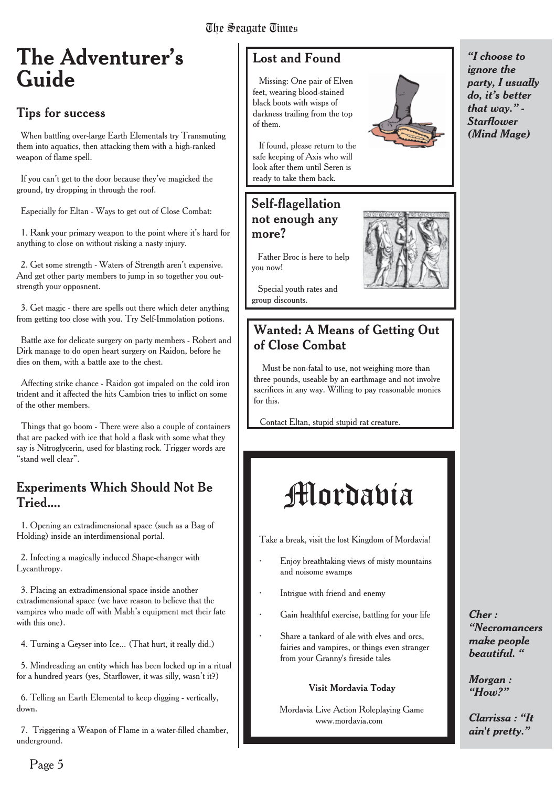### **The Adventurer's Guide**

#### **Tips for success**

When battling over-large Earth Elementals try Transmuting them into aquatics, then attacking them with a high-ranked weapon of flame spell.

If you can't get to the door because they've magicked the ground, try dropping in through the roof.

Especially for Eltan - Ways to get out of Close Combat:

1. Rank your primary weapon to the point where it's hard for anything to close on without risking a nasty injury.

2. Get some strength - Waters of Strength aren't expensive. And get other party members to jump in so together you outstrength your opposnent.

3. Get magic - there are spells out there which deter anything from getting too close with you. Try Self-Immolation potions.

Battle axe for delicate surgery on party members - Robert and Dirk manage to do open heart surgery on Raidon, before he dies on them, with a battle axe to the chest.

Affecting strike chance - Raidon got impaled on the cold iron trident and it affected the hits Cambion tries to inflict on some of the other members.

Things that go boom - There were also a couple of containers that are packed with ice that hold a flask with some what they say is Nitroglycerin, used for blasting rock. Trigger words are "stand well clear".

#### Experiments Which Should Not Be Tried....

1. Opening an extradimensional space (such as a Bag of Holding) inside an interdimensional portal.

2. Infecting a magically induced Shape-changer with Lycanthropy.

3. Placing an extradimensional space inside another extradimensional space (we have reason to believe that the vampires who made off with Mabh's equipment met their fate with this one).

4. Turning a Geyser into Ice... (That hurt, it really did.)

5. Mindreading an entity which has been locked up in a ritual for a hundred years (yes, Starflower, it was silly, wasn't it?)

6. Telling an Earth Elemental to keep digging - vertically, down.

7. Triggering a Weapon of Flame in a water-filled chamber, underground.

Missing: One pair of Elven feet, wearing blood-stained black boots with wisps of darkness trailing from the top of them.

If found, please return to the safe keeping of Axis who will look after them until Seren is ready to take them back.

#### Self-flagellation not enough any more?

Father Broc is here to help you now!

Special youth rates and group discounts.

#### Wanted: A Means of Getting Out of Close Combat

Must be non-fatal to use, not weighing more than three pounds, useable by an earthmage and not involve sacrifices in any way. Willing to pay reasonable monies for this.

Contact Eltan, stupid stupid rat creature.

# Mordavia

Take a break, visit the lost Kingdom of Mordavia!

- · Enjoy breathtaking views of misty mountains and noisome swamps
	- Intrigue with friend and enemy
- Gain healthful exercise, battling for your life
- Share a tankard of ale with elves and orcs, fairies and vampires, or things even stranger from your Granny's fireside tales

#### Visit Mordavia Today

Mordavia Live Action Roleplaying Game www.mordavia.com

*"I choose to ignore the party, I usually do, it's better that way." - Starflower (Mind Mage)*



*Cher : "Necromancers make people beautiful. "*

*Morgan : "How?"*

*Clarrissa : "It ain't pretty."*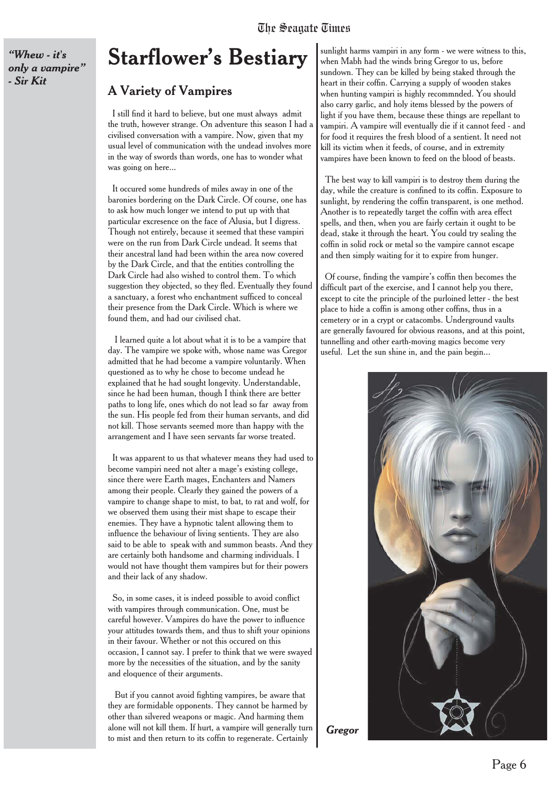*"Whew - it's only a vampire" - Sir Kit*

### **Starflower's Bestiary**

#### A Variety of Vampires

I still find it hard to believe, but one must always admit the truth, however strange. On adventure this season I had a civilised conversation with a vampire. Now, given that my usual level of communication with the undead involves more in the way of swords than words, one has to wonder what was going on here...

It occured some hundreds of miles away in one of the baronies bordering on the Dark Circle. Of course, one has to ask how much longer we intend to put up with that particular excresence on the face of Alusia, but I digress. Though not entirely, because it seemed that these vampiri were on the run from Dark Circle undead. It seems that their ancestral land had been within the area now covered by the Dark Circle, and that the entities controlling the Dark Circle had also wished to control them. To which suggestion they objected, so they fled. Eventually they found a sanctuary, a forest who enchantment sufficed to conceal their presence from the Dark Circle. Which is where we found them, and had our civilised chat.

I learned quite a lot about what it is to be a vampire that day. The vampire we spoke with, whose name was Gregor admitted that he had become a vampire voluntarily. When questioned as to why he chose to become undead he explained that he had sought longevity. Understandable, since he had been human, though I think there are better paths to long life, ones which do not lead so far away from the sun. His people fed from their human servants, and did not kill. Those servants seemed more than happy with the arrangement and I have seen servants far worse treated.

It was apparent to us that whatever means they had used to become vampiri need not alter a mage's existing college, since there were Earth mages, Enchanters and Namers among their people. Clearly they gained the powers of a vampire to change shape to mist, to bat, to rat and wolf, for we observed them using their mist shape to escape their enemies. They have a hypnotic talent allowing them to influence the behaviour of living sentients. They are also said to be able to speak with and summon beasts. And they are certainly both handsome and charming individuals. I would not have thought them vampires but for their powers and their lack of any shadow.

So, in some cases, it is indeed possible to avoid conflict with vampires through communication. One, must be careful however. Vampires do have the power to influence your attitudes towards them, and thus to shift your opinions in their favour. Whether or not this occured on this occasion, I cannot say. I prefer to think that we were swayed more by the necessities of the situation, and by the sanity and eloquence of their arguments.

But if you cannot avoid fighting vampires, be aware that they are formidable opponents. They cannot be harmed by other than silvered weapons or magic. And harming them alone will not kill them. If hurt, a vampire will generally turn to mist and then return to its coffin to regenerate. Certainly

sunlight harms vampiri in any form - we were witness to this, when Mabh had the winds bring Gregor to us, before sundown. They can be killed by being staked through the heart in their coffin. Carrying a supply of wooden stakes when hunting vampiri is highly recommnded. You should also carry garlic, and holy items blessed by the powers of light if you have them, because these things are repellant to vampiri. A vampire will eventually die if it cannot feed - and for food it requires the fresh blood of a sentient. It need not kill its victim when it feeds, of course, and in extremity vampires have been known to feed on the blood of beasts.

The best way to kill vampiri is to destroy them during the day, while the creature is confined to its coffin. Exposure to sunlight, by rendering the coffin transparent, is one method. Another is to repeatedly target the coffin with area effect spells, and then, when you are fairly certain it ought to be dead, stake it through the heart. You could try sealing the coffin in solid rock or metal so the vampire cannot escape and then simply waiting for it to expire from hunger.

Of course, finding the vampire's coffin then becomes the difficult part of the exercise, and I cannot help you there, except to cite the principle of the purloined letter - the best place to hide a coffin is among other coffins, thus in a cemetery or in a crypt or catacombs. Underground vaults are generally favoured for obvious reasons, and at this point, tunnelling and other earth-moving magics become very useful. Let the sun shine in, and the pain begin...

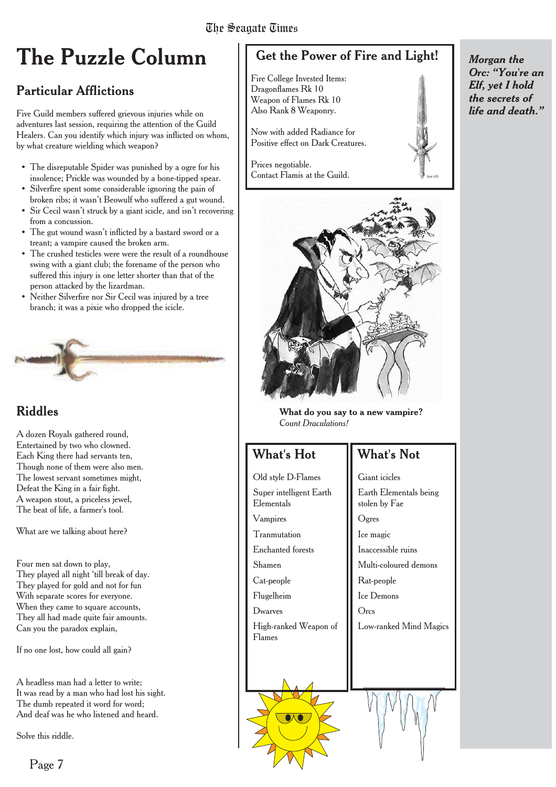# **The Puzzle Column**

#### Particular Afflictions

Five Guild members suffered grievous injuries while on adventures last session, requiring the attention of the Guild Healers. Can you identify which injury was inflicted on whom, by what creature wielding which weapon?

- The disreputable Spider was punished by a ogre for his insolence; Prickle was wounded by a bone-tipped spear.
- Silverfire spent some considerable ignoring the pain of broken ribs; it wasn't Beowulf who suffered a gut wound.
- Sir Cecil wasn't struck by a giant icicle, and isn't recovering from a concussion.
- The gut wound wasn't inflicted by a bastard sword or a treant; a vampire caused the broken arm.
- The crushed testicles were were the result of a roundhouse swing with a giant club; the forename of the person who suffered this injury is one letter shorter than that of the person attacked by the lizardman.
- Neither Silverfire nor Sir Cecil was injured by a tree branch; it was a pixie who dropped the icicle.



#### Riddles

A dozen Royals gathered round, Entertained by two who clowned. Each King there had servants ten, Though none of them were also men. The lowest servant sometimes might, Defeat the King in a fair fight. A weapon stout, a priceless jewel, The beat of life, a farmer's tool.

What are we talking about here?

Four men sat down to play, They played all night 'till break of day. They played for gold and not for fun With separate scores for everyone. When they came to square accounts, They all had made quite fair amounts. Can you the paradox explain,

If no one lost, how could all gain?

A headless man had a letter to write; It was read by a man who had lost his sight. The dumb repeated it word for word: And deaf was he who listened and heard.

Solve this riddle.

Page 7

| Get the Power of Fire and Light!                                                                      |  |
|-------------------------------------------------------------------------------------------------------|--|
| Fire College Invested Items:<br>Dragonflames Rk 10<br>Weapon of Flames Rk 10<br>Also Rank 8 Weaponry. |  |
| Now with added Radiance for<br>Positive effect on Dark Creatures.                                     |  |
| Prices negotiable.<br>Contact Flamis at the Guild.                                                    |  |



**What do you say to a new vampire?** *Count Draculations!*

#### What's Hot

#### What's Not

Old style D-Flames Super intelligent Earth Elementals Vampires **Tranmutation** Enchanted forests Shamen Cat-people Flugelheim Dwarves High-ranked Weapon of Flames

Giant icicles Earth Elementals being stolen by Fae Ogres Ice magic Inaccessible ruins Multi-coloured demons Rat-people Ice Demons **Orcs** Low-ranked Mind Magics *Morgan the Orc: "You're an Elf, yet I hold the secrets of life and death."*